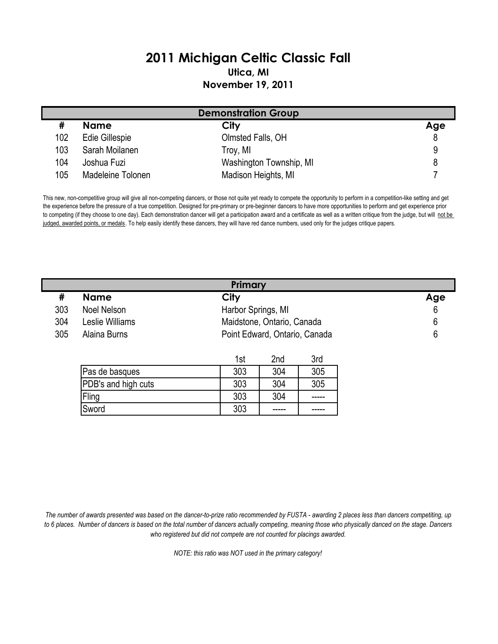## 2011 Michigan Celtic Classic Fall Utica, MI November 19, 2011

| <b>Demonstration Group</b> |                   |                         |     |  |
|----------------------------|-------------------|-------------------------|-----|--|
|                            | <b>Name</b>       | City                    | Age |  |
| 102                        | Edie Gillespie    | Olmsted Falls, OH       |     |  |
| 103                        | Sarah Moilanen    | Troy, MI                |     |  |
| 104                        | Joshua Fuzi       | Washington Township, MI |     |  |
| 105                        | Madeleine Tolonen | Madison Heights, MI     |     |  |

This new, non-competitive group will give all non-competing dancers, or those not quite yet ready to compete the opportunity to perform in a competition-like setting and get the experience before the pressure of a true competition. Designed for pre-primary or pre-beginner dancers to have more opportunities to perform and get experience prior to competing (if they choose to one day). Each demonstration dancer will get a participation award and a certificate as well as a written critique from the judge, but will not be judged, awarded points, or medals. To help easily identify these dancers, they will have red dance numbers, used only for the judges critique papers.

|     | Primary         |                               |     |  |
|-----|-----------------|-------------------------------|-----|--|
| 开   | <b>Name</b>     | City                          | Age |  |
| 303 | Noel Nelson     | Harbor Springs, MI            | 6   |  |
| 304 | Leslie Williams | Maidstone, Ontario, Canada    | b   |  |
| 305 | Alaina Burns    | Point Edward, Ontario, Canada | h   |  |

|                     | 1st | 2nd | 3rd |
|---------------------|-----|-----|-----|
| Pas de basques      | 303 | 304 | 305 |
| PDB's and high cuts | 303 | 304 | 305 |
| Fling               | 303 | 304 |     |
| Sword               | 303 |     |     |

The number of awards presented was based on the dancer-to-prize ratio recommended by FUSTA - awarding 2 places less than dancers competiting, up to 6 places. Number of dancers is based on the total number of dancers actually competing, meaning those who physically danced on the stage. Dancers who registered but did not compete are not counted for placings awarded.

NOTE: this ratio was NOT used in the primary category!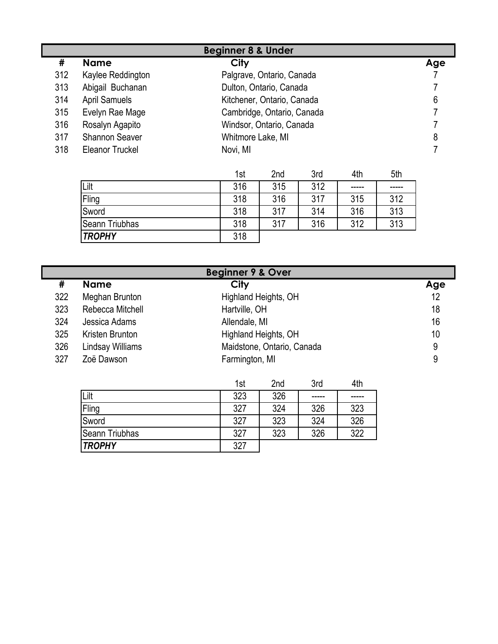| <b>Beginner 8 &amp; Under</b> |                        |                            |     |  |
|-------------------------------|------------------------|----------------------------|-----|--|
| #                             | <b>Name</b>            | <b>City</b>                | Age |  |
| 312                           | Kaylee Reddington      | Palgrave, Ontario, Canada  |     |  |
| 313                           | Abigail Buchanan       | Dulton, Ontario, Canada    |     |  |
| 314                           | <b>April Samuels</b>   | Kitchener, Ontario, Canada | 6   |  |
| 315                           | Evelyn Rae Mage        | Cambridge, Ontario, Canada |     |  |
| 316                           | Rosalyn Agapito        | Windsor, Ontario, Canada   |     |  |
| 317                           | <b>Shannon Seaver</b>  | Whitmore Lake, MI          | 8   |  |
| 318                           | <b>Eleanor Truckel</b> | Novi, MI                   |     |  |

|                | 1st | 2 <sub>nd</sub> | 3rd | 4th   | 5th   |
|----------------|-----|-----------------|-----|-------|-------|
| Lilt           | 316 | 315             | 312 | ----- | ----- |
| Fling          | 318 | 316             | 317 | 315   | 312   |
| Sword          | 318 | 317             | 314 | 316   | 313   |
| Seann Triubhas | 318 | 317             | 316 | 312   | 313   |
| <b>TROPHY</b>  | 318 |                 |     |       |       |

| <b>Beginner 9 &amp; Over</b> |                  |                            |     |
|------------------------------|------------------|----------------------------|-----|
| #                            | <b>Name</b>      | City                       | Age |
| 322                          | Meghan Brunton   | Highland Heights, OH       | 12  |
| 323                          | Rebecca Mitchell | Hartville, OH              | 18  |
| 324                          | Jessica Adams    | Allendale, MI              | 16  |
| 325                          | Kristen Brunton  | Highland Heights, OH       | 10  |
| 326                          | Lindsay Williams | Maidstone, Ontario, Canada | 9   |
| 327                          | Zoë Dawson       | Farmington, MI             | 9   |

|                | 1st | 2nd | 3rd  | 4th |
|----------------|-----|-----|------|-----|
| Lilt           | 323 | 326 | ---- |     |
| Fling          | 327 | 324 | 326  | 323 |
| Sword          | 327 | 323 | 324  | 326 |
| Seann Triubhas | 327 | 323 | 326  | 322 |
| <b>TROPHY</b>  | 327 |     |      |     |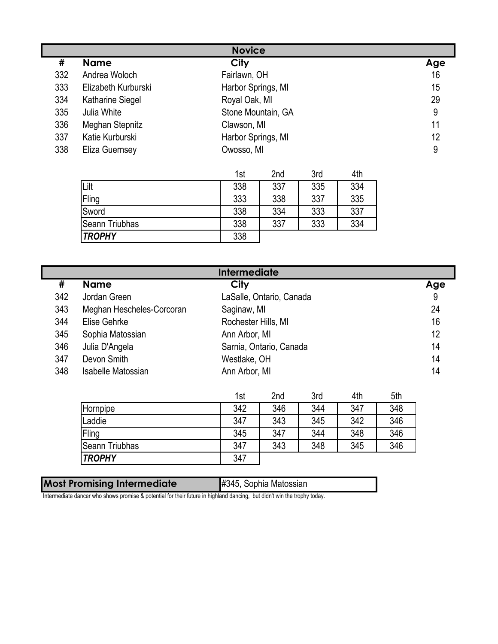| <b>Novice</b> |                        |                    |     |  |
|---------------|------------------------|--------------------|-----|--|
| #             | <b>Name</b>            | City               | Age |  |
| 332           | Andrea Woloch          | Fairlawn, OH       | 16  |  |
| 333           | Elizabeth Kurburski    | Harbor Springs, MI | 15  |  |
| 334           | Katharine Siegel       | Royal Oak, MI      | 29  |  |
| 335           | Julia White            | Stone Mountain, GA | 9   |  |
| 336           | <b>Meghan Stepnitz</b> | Clawson, MI        | 11  |  |
| 337           | Katie Kurburski        | Harbor Springs, MI | 12  |  |
| 338           | Eliza Guernsey         | Owosso, MI         | 9   |  |

|                | 1st | 2nd | 3rd | 4th |
|----------------|-----|-----|-----|-----|
| Lilt           | 338 | 337 | 335 | 334 |
| Fling          | 333 | 338 | 337 | 335 |
| Sword          | 338 | 334 | 333 | 337 |
| Seann Triubhas | 338 | 337 | 333 | 334 |
| <b>TROPHY</b>  | 338 |     |     |     |

| <b>Intermediate</b> |                           |                          |     |  |
|---------------------|---------------------------|--------------------------|-----|--|
| #                   | <b>Name</b>               | City                     | Age |  |
| 342                 | Jordan Green              | LaSalle, Ontario, Canada | 9   |  |
| 343                 | Meghan Hescheles-Corcoran | Saginaw, MI              | 24  |  |
| 344                 | Elise Gehrke              | Rochester Hills, MI      | 16  |  |
| 345                 | Sophia Matossian          | Ann Arbor, MI            | 12  |  |
| 346                 | Julia D'Angela            | Sarnia, Ontario, Canada  | 14  |  |
| 347                 | Devon Smith               | Westlake, OH             | 14  |  |
| 348                 | Isabelle Matossian        | Ann Arbor, MI            | 14  |  |

|                       | 1st | 2 <sub>nd</sub> | 3rd | 4th | 5th |
|-----------------------|-----|-----------------|-----|-----|-----|
| Hornpipe              | 342 | 346             | 344 | 347 | 348 |
| Laddie                | 347 | 343             | 345 | 342 | 346 |
| Fling                 | 345 | 347             | 344 | 348 | 346 |
| <b>Seann Triubhas</b> | 347 | 343             | 348 | 345 | 346 |
| <b>TROPHY</b>         | 347 |                 |     |     |     |

| <b>Most Promising Intermediate</b> | #345, Sophia Matossian |
|------------------------------------|------------------------|
|                                    |                        |

Intermediate dancer who shows promise & potential for their future in highland dancing, but didn't win the trophy today.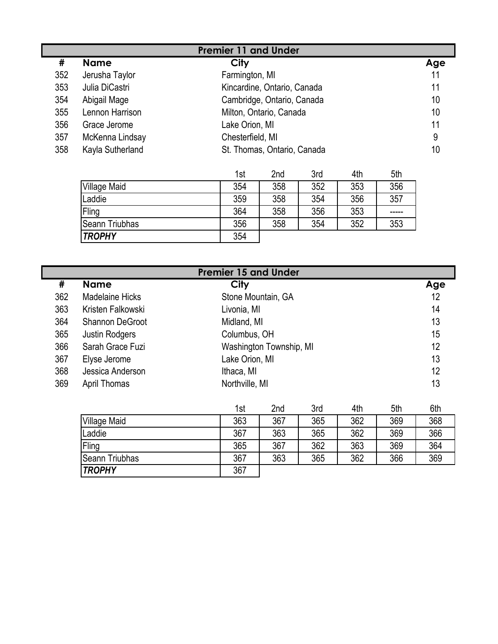| <b>Premier 11 and Under</b> |                  |                             |     |  |  |
|-----------------------------|------------------|-----------------------------|-----|--|--|
| #                           | <b>Name</b>      | City                        | Age |  |  |
| 352                         | Jerusha Taylor   | Farmington, MI              | 11  |  |  |
| 353                         | Julia DiCastri   | Kincardine, Ontario, Canada | 11  |  |  |
| 354                         | Abigail Mage     | Cambridge, Ontario, Canada  | 10  |  |  |
| 355                         | Lennon Harrison  | Milton, Ontario, Canada     | 10  |  |  |
| 356                         | Grace Jerome     | Lake Orion, MI              | 11  |  |  |
| 357                         | McKenna Lindsay  | Chesterfield, MI            | 9   |  |  |
| 358                         | Kayla Sutherland | St. Thomas, Ontario, Canada | 10  |  |  |

|                     | 1st | 2 <sub>nd</sub> | 3rd | 4th | 5th |
|---------------------|-----|-----------------|-----|-----|-----|
| <b>Village Maid</b> | 354 | 358             | 352 | 353 | 356 |
| Laddie              | 359 | 358             | 354 | 356 | 357 |
| Fling               | 364 | 358             | 356 | 353 |     |
| Seann Triubhas      | 356 | 358             | 354 | 352 | 353 |
| <b>TROPHY</b>       | 354 |                 |     |     |     |

| <b>Premier 15 and Under</b> |                   |                         |     |  |
|-----------------------------|-------------------|-------------------------|-----|--|
| #                           | <b>Name</b>       | City                    | Age |  |
| 362                         | Madelaine Hicks   | Stone Mountain, GA      | 12  |  |
| 363                         | Kristen Falkowski | Livonia, MI             | 14  |  |
| 364                         | Shannon DeGroot   | Midland, MI             | 13  |  |
| 365                         | Justin Rodgers    | Columbus, OH            | 15  |  |
| 366                         | Sarah Grace Fuzi  | Washington Township, MI | 12  |  |
| 367                         | Elyse Jerome      | Lake Orion, MI          | 13  |  |
| 368                         | Jessica Anderson  | Ithaca, MI              | 12  |  |
| 369                         | April Thomas      | Northville, MI          | 13  |  |

|                     | 1st | 2 <sub>nd</sub> | 3rd | 4th | 5th | 6th |
|---------------------|-----|-----------------|-----|-----|-----|-----|
| <b>Village Maid</b> | 363 | 367             | 365 | 362 | 369 | 368 |
| Laddie              | 367 | 363             | 365 | 362 | 369 | 366 |
| Fling               | 365 | 367             | 362 | 363 | 369 | 364 |
| Seann Triubhas      | 367 | 363             | 365 | 362 | 366 | 369 |
| <b>TROPHY</b>       | 367 |                 |     |     |     |     |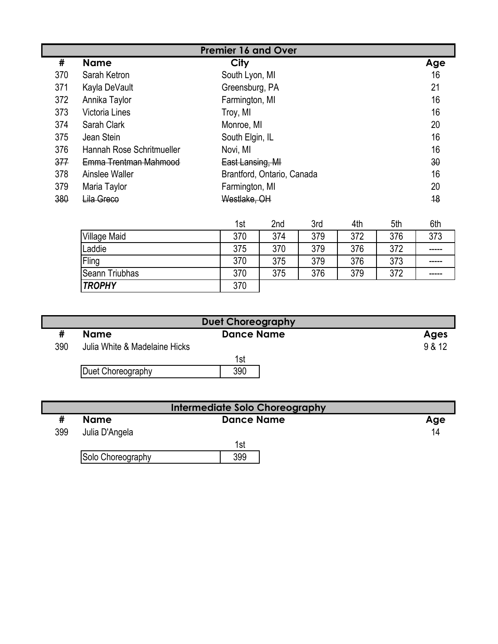| <b>Premier 16 and Over</b> |                           |                                                                |     |            |  |  |  |
|----------------------------|---------------------------|----------------------------------------------------------------|-----|------------|--|--|--|
| #                          | <b>Name</b>               | City                                                           |     | Age        |  |  |  |
| 370                        | Sarah Ketron              | South Lyon, MI                                                 |     | 16         |  |  |  |
| 371                        | Kayla DeVault             | Greensburg, PA                                                 |     | 21         |  |  |  |
| 372                        | Annika Taylor             | Farmington, MI                                                 |     | 16         |  |  |  |
| 373                        | <b>Victoria Lines</b>     | Troy, MI                                                       |     | 16         |  |  |  |
| 374                        | Sarah Clark               | Monroe, MI                                                     |     | 20         |  |  |  |
| 375                        | Jean Stein                | South Elgin, IL                                                |     | 16         |  |  |  |
| 376                        | Hannah Rose Schritmueller | Novi, MI                                                       |     | 16         |  |  |  |
| 377                        | Emma Trentman Mahmood     | East Lansing, MI                                               |     |            |  |  |  |
| 378                        | Ainslee Waller            | Brantford, Ontario, Canada                                     |     |            |  |  |  |
| 379                        | Maria Taylor              | Farmington, MI                                                 |     |            |  |  |  |
| 380                        | Lila Greco                | Westlake, OH                                                   | 48  |            |  |  |  |
|                            |                           | <b>Srd</b><br>4 <sup>th</sup><br><b>Ond</b><br>1 <sub>ct</sub> | 5th | <b>Ath</b> |  |  |  |

|                     | 1st | 2nd | 3rd | 4th | 5th | 6th   |
|---------------------|-----|-----|-----|-----|-----|-------|
| <b>Village Maid</b> | 370 | 374 | 379 | 372 | 376 | 373   |
| ∟addie              | 375 | 370 | 379 | 376 | 372 | ----- |
| Fling               | 370 | 375 | 379 | 376 | 373 | ----- |
| Seann Triubhas      | 370 | 375 | 376 | 379 | 372 | ----- |
| <b>TROPHY</b>       | 370 |     |     |     |     |       |

| <b>Duet Choreography</b> |                               |                   |             |  |  |
|--------------------------|-------------------------------|-------------------|-------------|--|--|
|                          | <b>Name</b>                   | <b>Dance Name</b> | <b>Ages</b> |  |  |
| 390                      | Julia White & Madelaine Hicks |                   | 9 & 12      |  |  |
|                          |                               | 1st               |             |  |  |
|                          | Duet Choreography             | 390               |             |  |  |

| Intermediate Solo Choreography |                   |                   |     |  |  |
|--------------------------------|-------------------|-------------------|-----|--|--|
|                                | <b>Name</b>       | <b>Dance Name</b> | Age |  |  |
| 399                            | Julia D'Angela    |                   | 14  |  |  |
|                                |                   | 1st               |     |  |  |
|                                | Solo Choreography | 399               |     |  |  |